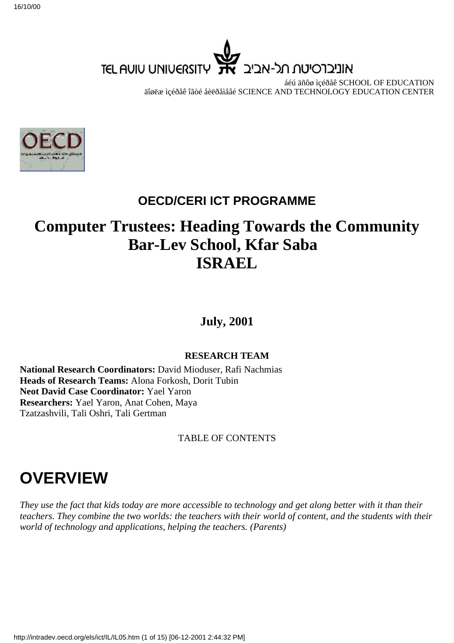

áéú äñôø ìçéðåê SCHOOL OF EDUCATION äîøëæ ìçéðåê îãòé åèëðåìåâé SCIENCE AND TECHNOLOGY EDUCATION CENTER



# **OECD/CERI ICT PROGRAMME**

# **Computer Trustees: Heading Towards the Community Bar-Lev School, Kfar Saba ISRAEL**

**July, 2001**

#### **RESEARCH TEAM**

**National Research Coordinators:** David Mioduser, Rafi Nachmias **Heads of Research Teams:** Alona Forkosh, Dorit Tubin **Neot David Case Coordinator:** Yael Yaron **Researchers:** Yael Yaron, Anat Cohen, Maya Tzatzashvili, Tali Oshri, Tali Gertman

#### TABLE OF CONTENTS

# **OVERVIEW**

*They use the fact that kids today are more accessible to technology and get along better with it than their teachers. They combine the two worlds: the teachers with their world of content, and the students with their world of technology and applications, helping the teachers. (Parents)*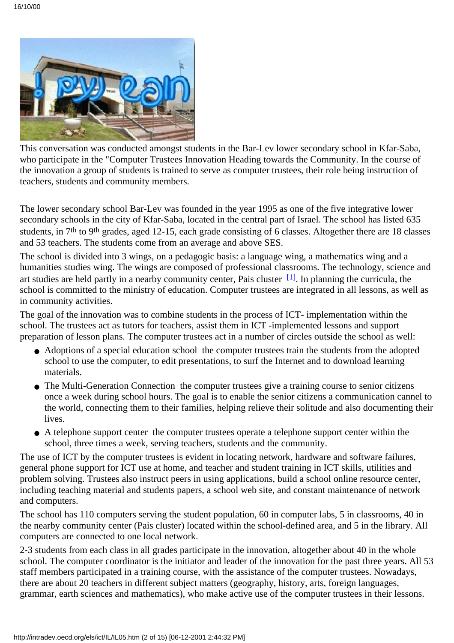

This conversation was conducted amongst students in the Bar-Lev lower secondary school in Kfar-Saba, who participate in the "Computer Trustees Innovation Heading towards the Community. In the course of the innovation a group of students is trained to serve as computer trustees, their role being instruction of teachers, students and community members.

The lower secondary school Bar-Lev was founded in the year 1995 as one of the five integrative lower secondary schools in the city of Kfar-Saba, located in the central part of Israel. The school has listed 635 students, in 7th to 9th grades, aged 12-15, each grade consisting of 6 classes. Altogether there are 18 classes and 53 teachers. The students come from an average and above SES.

The school is divided into 3 wings, on a pedagogic basis: a language wing, a mathematics wing and a humanities studies wing. The wings are composed of professional classrooms. The technology, science and art studies are held partly in a nearby community center, Pais cluster  $[1]$ . In planning the curricula, the school is committed to the ministry of education. Computer trustees are integrated in all lessons, as well as in community activities.

The goal of the innovation was to combine students in the process of ICT- implementation within the school. The trustees act as tutors for teachers, assist them in ICT -implemented lessons and support preparation of lesson plans. The computer trustees act in a number of circles outside the school as well:

- Adoptions of a special education school the computer trustees train the students from the adopted school to use the computer, to edit presentations, to surf the Internet and to download learning materials.
- The Multi-Generation Connection the computer trustees give a training course to senior citizens once a week during school hours. The goal is to enable the senior citizens a communication cannel to the world, connecting them to their families, helping relieve their solitude and also documenting their lives.
- A telephone support center the computer trustees operate a telephone support center within the school, three times a week, serving teachers, students and the community.

The use of ICT by the computer trustees is evident in locating network, hardware and software failures, general phone support for ICT use at home, and teacher and student training in ICT skills, utilities and problem solving. Trustees also instruct peers in using applications, build a school online resource center, including teaching material and students papers, a school web site, and constant maintenance of network and computers.

The school has 110 computers serving the student population, 60 in computer labs, 5 in classrooms, 40 in the nearby community center (Pais cluster) located within the school-defined area, and 5 in the library. All computers are connected to one local network.

2-3 students from each class in all grades participate in the innovation, altogether about 40 in the whole school. The computer coordinator is the initiator and leader of the innovation for the past three years. All 53 staff members participated in a training course, with the assistance of the computer trustees. Nowadays, there are about 20 teachers in different subject matters (geography, history, arts, foreign languages, grammar, earth sciences and mathematics), who make active use of the computer trustees in their lessons.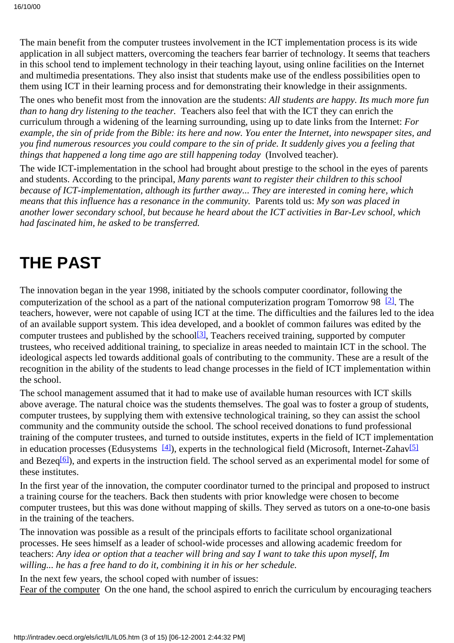The main benefit from the computer trustees involvement in the ICT implementation process is its wide application in all subject matters, overcoming the teachers fear barrier of technology. It seems that teachers in this school tend to implement technology in their teaching layout, using online facilities on the Internet and multimedia presentations. They also insist that students make use of the endless possibilities open to them using ICT in their learning process and for demonstrating their knowledge in their assignments.

The ones who benefit most from the innovation are the students: *All students are happy. It s much more fun than to hang dry listening to the teacher.* Teachers also feel that with the ICT they can enrich the curriculum through a widening of the learning surrounding, using up to date links from the Internet: *For example, the sin of pride from the Bible: its here and now. You enter the Internet, into newspaper sites, and you find numerous resources you could compare to the sin of pride. It suddenly gives you a feeling that things that happened a long time ago are still happening today* (Involved teacher).

The wide ICT-implementation in the school had brought about prestige to the school in the eyes of parents and students. According to the principal, *Many parents want to register their children to this school because of ICT-implementation, although its further away... They are interested in coming here, which means that this influence has a resonance in the community.* Parents told us: *My son was placed in another lower secondary school, but because he heard about the ICT activities in Bar-Lev school, which had fascinated him, he asked to be transferred.*

# **THE PAST**

The innovation began in the year 1998, initiated by the school s computer coordinator, following the computerization of the school as a part of the national computerization program Tomorrow 98 $[2]$ . The teachers, however, were not capable of using ICT at the time. The difficulties and the failures led to the idea of an available support system. This idea developed, and a booklet of common failures was edited by the computer trustees and published by the school<sup>[3]</sup>, Teachers received training, supported by computer trustees, who received additional training, to specialize in areas needed to maintain ICT in the school. The ideological aspects led towards additional goals of contributing to the community. These are a result of the recognition in the ability of the students to lead change processes in the field of ICT implementation within the school.

The school management assumed that it had to make use of available human resources with ICT skills above average. The natural choice was the students themselves. The goal was to foster a group of students, computer trustees, by supplying them with extensive technological training, so they can assist the school community and the community outside the school. The school received donations to fund professional training of the computer trustees, and turned to outside institutes, experts in the field of ICT implementation in education processes (Edusystems  $[4]$ ), experts in the technological field (Microsoft, Internet-Zahav $[5]$ and Bezeq<sup>[\[6\]](http://waldorf.eds.udel.edu/oecd/report/cases/IL/BarLev/IL05.html#fn6)</sup>), and experts in the instruction field. The school served as an experimental model for some of these institutes.

In the first year of the innovation, the computer coordinator turned to the principal and proposed to instruct a training course for the teachers. Back then students with prior knowledge were chosen to become computer trustees, but this was done without mapping of skills. They served as tutors on a one-to-one basis in the training of the teachers.

The innovation was possible as a result of the principal s efforts to facilitate school organizational processes. He sees himself as a leader of school-wide processes and allowing academic freedom for teachers: *Any idea or option that a teacher will bring and say I want to take this upon myself, Im willing... he has a free hand to do it, combining it in his or her schedule.*

In the next few years, the school coped with number of issues:

Fear of the computer On the one hand, the school aspired to enrich the curriculum by encouraging teachers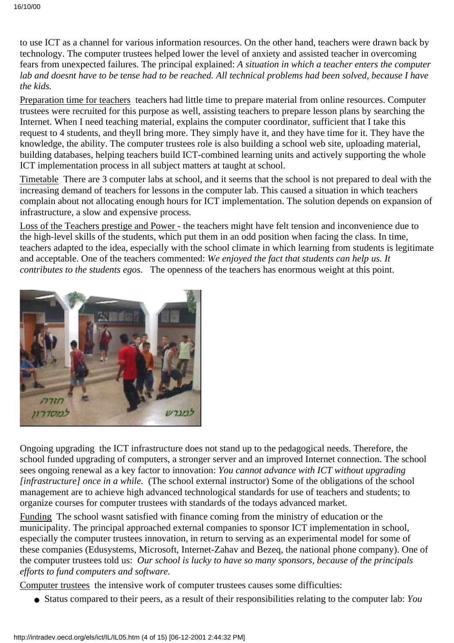to use ICT as a channel for various information resources. On the other hand, teachers were drawn back by technology. The computer trustees helped lower the level of anxiety and assisted teacher in overcoming fears from unexpected failures. The principal explained: *A situation in which a teacher enters the computer lab and doesnt have to be tense had to be reached. All technical problems had been solved, because I have the kids.*

Preparation time for teachers teachers had little time to prepare material from online resources. Computer trustees were recruited for this purpose as well, assisting teachers to prepare lesson plans by searching the Internet. When I need teaching material, explains the computer coordinator, sufficient that I take this request to 4 students, and they II bring more. They simply have it, and they have time for it. They have the knowledge, the ability. The computer trustees role is also building a school web site, uploading material, building databases, helping teachers build ICT-combined learning units and actively supporting the whole ICT implementation process in all subject matters at taught at school.

Timetable There are 3 computer labs at school, and it seems that the school is not prepared to deal with the increasing demand of teachers for lessons in the computer lab. This caused a situation in which teachers complain about not allocating enough hours for ICT implementation. The solution depends on expansion of infrastructure, a slow and expensive process.

Loss of the Teacher s prestige and Power - the teachers might have felt tension and inconvenience due to the high-level skills of the students, which put them in an odd position when facing the class. In time, teachers adapted to the idea, especially with the school climate in which learning from students is legitimate and acceptable. One of the teachers commented: *We enjoyed the fact that students can help us. It contributes to the students egos.* The openness of the teachers has enormous weight at this point.



Ongoing upgrading the ICT infrastructure does not stand up to the pedagogical needs. Therefore, the school funded upgrading of computers, a stronger server and an improved Internet connection. The school sees ongoing renewal as a key factor to innovation: *You cannot advance with ICT without upgrading [infrastructure] once in a while.* (The school external instructor) Some of the obligations of the school management are to achieve high advanced technological standards for use of teachers and students; to organize courses for computer trustees with standards of the todays advanced market.

Funding The school wasn t satisfied with finance coming from the ministry of education or the municipality. The principal approached external companies to sponsor ICT implementation in school, especially the computer trustees innovation, in return to serving as an experimental model for some of these companies (Edusystems, Microsoft, Internet-Zahav and Bezeq, the national phone company). One of the computer trustees told us:  *Our school is lucky to have so many sponsors, because of the principals efforts to fund computers and software.*

Computer trustees the intensive work of computer trustees causes some difficulties:

● Status compared to their peers, as a result of their responsibilities relating to the computer lab: *You*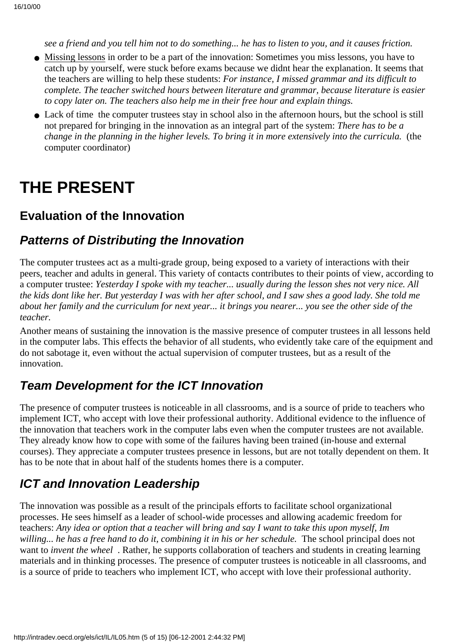*see a friend and you tell him not to do something... he has to listen to you, and it causes friction.*

- Missing lessons in order to be a part of the innovation: Sometimes you miss lessons, you have to catch up by yourself, we re stuck before exams because we didn t hear the explanation. It seems that the teachers are willing to help these students: *For instance, I missed grammar and its difficult to complete. The teacher switched hours between literature and grammar, because literature is easier to copy later on. The teachers also help me in their free hour and explain things.*
- Lack of time the computer trustees stay in school also in the afternoon hours, but the school is still not prepared for bringing in the innovation as an integral part of the system: *There has to be a change in the planning in the higher levels. To bring it in more extensively into the curricula.* (the computer coordinator)

# **THE PRESENT**

### **Evaluation of the Innovation**

### **Patterns of Distributing the Innovation**

The computer trustees act as a multi-grade group, being exposed to a variety of interactions with their peers, teacher and adults in general. This variety of contacts contributes to their points of view, according to a computer trustee: *Yesterday I spoke with my teacher... usually during the lesson shes not very nice. All the kids dont like her. But yesterday I was with her after school, and I saw shes a good lady. She told me about her family and the curriculum for next year... it brings you nearer... you see the other side of the teacher.*

Another means of sustaining the innovation is the massive presence of computer trustees in all lessons held in the computer labs. This effects the behavior of all students, who evidently take care of the equipment and do not sabotage it, even without the actual supervision of computer trustees, but as a result of the innovation.

# **Team Development for the ICT Innovation**

The presence of computer trustees is noticeable in all classrooms, and is a source of pride to teachers who implement ICT, who accept with love their professional authority. Additional evidence to the influence of the innovation that teachers work in the computer labs even when the computer trustees are not available. They already know how to cope with some of the failures having been trained (in-house and external courses). They appreciate a computer trustees presence in lessons, but are not totally dependent on them. It has to be note that in about half of the students homes there is a computer.

# **ICT and Innovation Leadership**

The innovation was possible as a result of the principal s efforts to facilitate school organizational processes. He sees himself as a leader of school-wide processes and allowing academic freedom for teachers: *Any idea or option that a teacher will bring and say I want to take this upon myself, Im willing... he has a free hand to do it, combining it in his or her schedule.* The school principal does not want to *invent the wheel*. Rather, he supports collaboration of teachers and students in creating learning materials and in thinking processes. The presence of computer trustees is noticeable in all classrooms, and is a source of pride to teachers who implement ICT, who accept with love their professional authority.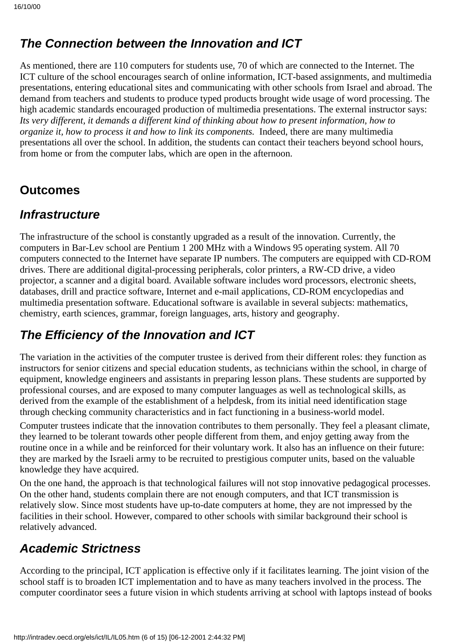## **The Connection between the Innovation and ICT**

As mentioned, there are 110 computers for students use, 70 of which are connected to the Internet. The ICT culture of the school encourages search of online information, ICT-based assignments, and multimedia presentations, entering educational sites and communicating with other schools from Israel and abroad. The demand from teachers and students to produce typed products brought wide usage of word processing. The high academic standards encouraged production of multimedia presentations. The external instructor says: *Its very different, it demands a different kind of thinking about how to present information, how to organize it, how to process it and how to link its components.* Indeed, there are many multimedia presentations all over the school. In addition, the students can contact their teachers beyond school hours, from home or from the computer labs, which are open in the afternoon.

## **Outcomes**

### **Infrastructure**

The infrastructure of the school is constantly upgraded as a result of the innovation. Currently, the computers in Bar-Lev school are Pentium 1 200 MHz with a Windows 95 operating system. All 70 computers connected to the Internet have separate IP numbers. The computers are equipped with CD-ROM drives. There are additional digital-processing peripherals, color printers, a RW-CD drive, a video projector, a scanner and a digital board. Available software includes word processors, electronic sheets, databases, drill and practice software, Internet and e-mail applications, CD-ROM encyclopedias and multimedia presentation software. Educational software is available in several subjects: mathematics, chemistry, earth sciences, grammar, foreign languages, arts, history and geography.

# **The Efficiency of the Innovation and ICT**

The variation in the activities of the computer trustee is derived from their different roles: they function as instructors for senior citizens and special education students, as technicians within the school, in charge of equipment, knowledge engineers and assistants in preparing lesson plans. These students are supported by professional courses, and are exposed to many computer languages as well as technological skills, as derived from the example of the establishment of a helpdesk, from its initial need identification stage through checking community characteristics and in fact functioning in a business-world model.

Computer trustees indicate that the innovation contributes to them personally. They feel a pleasant climate, they learned to be tolerant towards other people different from them, and enjoy getting away from the routine once in a while and be reinforced for their voluntary work. It also has an influence on their future: they are marked by the Israeli army to be recruited to prestigious computer units, based on the valuable knowledge they have acquired.

On the one hand, the approach is that technological failures will not stop innovative pedagogical processes. On the other hand, students complain there are not enough computers, and that ICT transmission is relatively slow. Since most students have up-to-date computers at home, they are not impressed by the facilities in their school. However, compared to other schools with similar background their school is relatively advanced.

# **Academic Strictness**

According to the principal, ICT application is effective only if it facilitates learning. The joint vision of the school staff is to broaden ICT implementation and to have as many teachers involved in the process. The computer coordinator sees a future vision in which students arriving at school with laptops instead of books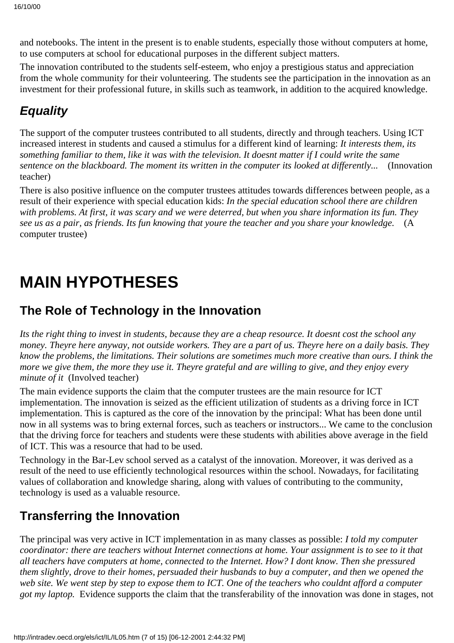and notebooks. The intent in the present is to enable students, especially those without computers at home, to use computers at school for educational purposes in the different subject matters.

The innovation contributed to the students self-esteem, who enjoy a prestigious status and appreciation from the whole community for their volunteering. The students see the participation in the innovation as an investment for their professional future, in skills such as teamwork, in addition to the acquired knowledge.

# **Equality**

The support of the computer trustees contributed to all students, directly and through teachers. Using ICT increased interest in students and caused a stimulus for a different kind of learning: *It interests them, it s something familiar to them, like it was with the television. It doesnt matter if I could write the same sentence on the blackboard. The moment it s written in the computer it s looked at differently...* (Innovation teacher)

There is also positive influence on the computer trustees attitudes towards differences between people, as a result of their experience with special education kids: *In the special education school there are children* with problems. At first, it was scary and we were deterred, but when you share information it s fun. They *see us as a pair, as friends. It s fun knowing that you re the teacher and you share your knowledge.* (A computer trustee)

# **MAIN HYPOTHESES**

## **The Role of Technology in the Innovation**

*Its the right thing to invest in students, because they are a cheap resource. It doesnt cost the school any money. Theyre here anyway, not outside workers. They are a part of us. Theyre here on a daily basis. They know the problems, the limitations. Their solutions are sometimes much more creative than ours. I think the more we give them, the more they use it. They re grateful and are willing to give, and they enjoy every minute of it* (Involved teacher)

The main evidence supports the claim that the computer trustees are the main resource for ICT implementation. The innovation is seized as the efficient utilization of students as a driving force in ICT implementation. This is captured as the core of the innovation by the principal: What has been done until now in all systems was to bring external forces, such as teachers or instructors... We came to the conclusion that the driving force for teachers and students were these students with abilities above average in the field of ICT. This was a resource that had to be used.

Technology in the Bar-Lev school served as a catalyst of the innovation. Moreover, it was derived as a result of the need to use efficiently technological resources within the school. Nowadays, for facilitating values of collaboration and knowledge sharing, along with values of contributing to the community, technology is used as a valuable resource.

# **Transferring the Innovation**

The principal was very active in ICT implementation in as many classes as possible: *I told my computer coordinator: there are teachers without Internet connections at home. Your assignment is to see to it that all teachers have computers at home, connected to the Internet. How? I dont know. Then she pressured them slightly, drove to their homes, persuaded their husbands to buy a computer, and then we opened the web site. We went step by step to expose them to ICT. One of the teachers who couldnt afford a computer got my laptop.* Evidence supports the claim that the transferability of the innovation was done in stages, not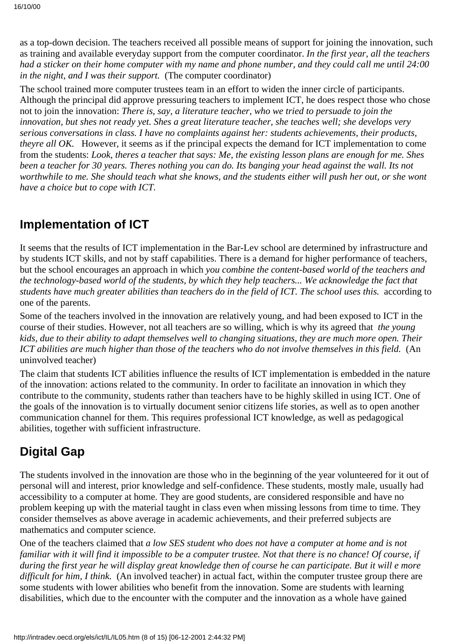as a top-down decision. The teachers received all possible means of support for joining the innovation, such as training and available everyday support from the computer coordinator. *In the first year, all the teachers had a sticker on their home computer with my name and phone number, and they could call me until 24:00 in the night, and I was their support.* (The computer coordinator)

The school trained more computer trustees team in an effort to widen the inner circle of participants. Although the principal did approve pressuring teachers to implement ICT, he does respect those who chose not to join the innovation: *There is, say, a literature teacher, who we tried to persuade to join the innovation, but she s not ready yet. She s a great literature teacher, she teaches well; she develops very serious conversations in class. I have no complaints against her: students achievements, their products, they re all OK.* However, it seems as if the principal expects the demand for ICT implementation to come from the students: *Look, there s a teacher that says: Me, the existing lesson plans are enough for me. She s been a teacher for 30 years. There s nothing you can do. It s banging your head against the wall. It s not worthwhile to me. She should teach what she knows, and the students either will push her out, or she wont have a choice but to cope with ICT.*

## **Implementation of ICT**

It seems that the results of ICT implementation in the Bar-Lev school are determined by infrastructure and by students ICT skills, and not by staff capabilities. There is a demand for higher performance of teachers, but the school encourages an approach in which *you combine the content-based world of the teachers and the technology-based world of the students, by which they help teachers... We acknowledge the fact that students have much greater abilities than teachers do in the field of ICT. The school uses this.* according to one of the parents.

Some of the teachers involved in the innovation are relatively young, and had been exposed to ICT in the course of their studies. However, not all teachers are so willing, which is why it s agreed that *the young kids, due to their ability to adapt themselves well to changing situations, they are much more open. Their ICT abilities are much higher than those of the teachers who do not involve themselves in this field.* (An uninvolved teacher)

The claim that students ICT abilities influence the results of ICT implementation is embedded in the nature of the innovation: actions related to the community. In order to facilitate an innovation in which they contribute to the community, students rather than teachers have to be highly skilled in using ICT. One of the goals of the innovation is to virtually document senior citizens life stories, as well as to open another communication channel for them. This requires professional ICT knowledge, as well as pedagogical abilities, together with sufficient infrastructure.

# **Digital Gap**

The students involved in the innovation are those who in the beginning of the year volunteered for it out of personal will and interest, prior knowledge and self-confidence. These students, mostly male, usually had accessibility to a computer at home. They are good students, are considered responsible and have no problem keeping up with the material taught in class even when missing lessons from time to time. They consider themselves as above average in academic achievements, and their preferred subjects are mathematics and computer science.

One of the teachers claimed that *a low SES student who does not have a computer at home and is not familiar with it will find it impossible to be a computer trustee. Not that there is no chance! Of course, if during the first year he will display great knowledge then of course he can participate. But it will e more difficult for him, I think.* (An involved teacher) in actual fact, within the computer trustee group there are some students with lower abilities who benefit from the innovation. Some are students with learning disabilities, which due to the encounter with the computer and the innovation as a whole have gained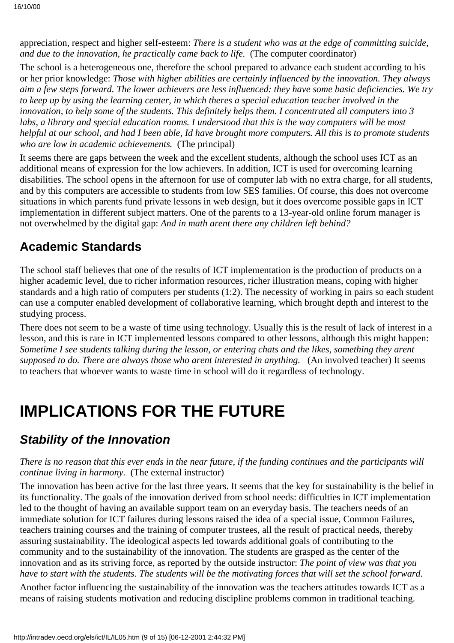appreciation, respect and higher self-esteem: *There is a student who was at the edge of committing suicide, and due to the innovation, he practically came back to life.* (The computer coordinator)

The school is a heterogeneous one, therefore the school prepared to advance each student according to his or her prior knowledge: *Those with higher abilities are certainly influenced by the innovation. They always aim a few steps forward. The lower achievers are less influenced: they have some basic deficiencies. We try* to keep up by using the learning center, in which there s a special education teacher involved in the *innovation, to help some of the students. This definitely helps them. I concentrated all computers into 3 labs, a library and special education rooms. I understood that this is the way computers will be most helpful at our school, and had I been able, Id have brought more computers. All this is to promote students who are low in academic achievements.* (The principal)

It seems there are gaps between the week and the excellent students, although the school uses ICT as an additional means of expression for the low achievers. In addition, ICT is used for overcoming learning disabilities. The school opens in the afternoon for use of computer lab with no extra charge, for all students, and by this computers are accessible to students from low SES families. Of course, this does not overcome situations in which parents fund private lessons in web design, but it does overcome possible gaps in ICT implementation in different subject matters. One of the parents to a 13-year-old online forum manager is not overwhelmed by the digital gap: *And in math arent there any children left behind?*

## **Academic Standards**

The school staff believes that one of the results of ICT implementation is the production of products on a higher academic level, due to richer information resources, richer illustration means, coping with higher standards and a high ratio of computers per students (1:2). The necessity of working in pairs so each student can use a computer enabled development of collaborative learning, which brought depth and interest to the studying process.

There does not seem to be a waste of time using technology. Usually this is the result of lack of interest in a lesson, and this is rare in ICT implemented lessons compared to other lessons, although this might happen: *Sometime I see students talking during the lesson, or entering chats and the likes, something they arent supposed to do. There are always those who arent interested in anything.* (An involved teacher) It seems to teachers that whoever wants to waste time in school will do it regardless of technology.

# **IMPLICATIONS FOR THE FUTURE**

# **Stability of the Innovation**

#### *There is no reason that this ever ends in the near future, if the funding continues and the participants will continue living in harmony.* (The external instructor)

The innovation has been active for the last three years. It seems that the key for sustainability is the belief in its functionality. The goals of the innovation derived from school needs: difficulties in ICT implementation led to the thought of having an available support team on an everyday basis. The teachers needs of an immediate solution for ICT failures during lessons raised the idea of a special issue, Common Failures, teachers training courses and the training of computer trustees, all the result of practical needs, thereby assuring sustainability. The ideological aspects led towards additional goals of contributing to the community and to the sustainability of the innovation. The students are grasped as the center of the innovation and as its striving force, as reported by the outside instructor: *The point of view was that you have to start with the students. The students will be the motivating forces that will set the school forward.*

Another factor influencing the sustainability of the innovation was the teachers attitudes towards ICT as a means of raising students motivation and reducing discipline problems common in traditional teaching.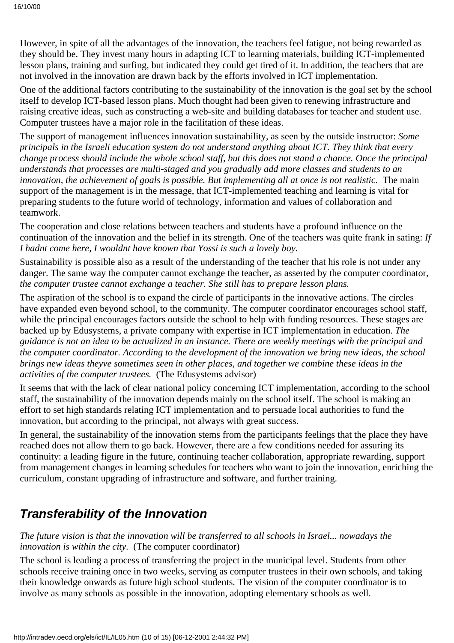However, in spite of all the advantages of the innovation, the teachers feel fatigue, not being rewarded as they should be. They invest many hours in adapting ICT to learning materials, building ICT-implemented lesson plans, training and surfing, but indicated they could get tired of it. In addition, the teachers that are not involved in the innovation are drawn back by the efforts involved in ICT implementation.

One of the additional factors contributing to the sustainability of the innovation is the goal set by the school itself to develop ICT-based lesson plans. Much thought had been given to renewing infrastructure and raising creative ideas, such as constructing a web-site and building databases for teacher and student use. Computer trustees have a major role in the facilitation of these ideas.

The support of management influences innovation sustainability, as seen by the outside instructor: *Some principals in the Israeli education system do not understand anything about ICT. They think that every change process should include the whole school staff, but this does not stand a chance. Once the principal understands that processes are multi-staged and you gradually add more classes and students to an innovation, the achievement of goals is possible. But implementing all at once is not realistic.* The main support of the management is in the message, that ICT-implemented teaching and learning is vital for preparing students to the future world of technology, information and values of collaboration and teamwork.

The cooperation and close relations between teachers and students have a profound influence on the continuation of the innovation and the belief in its strength. One of the teachers was quite frank in sating: *If I hadn t come here, I wouldn t have known that Yossi is such a lovely boy.* 

Sustainability is possible also as a result of the understanding of the teacher that his role is not under any danger. The same way the computer cannot exchange the teacher, as asserted by the computer coordinator, *the computer trustee cannot exchange a teacher. She still has to prepare lesson plans.*

The aspiration of the school is to expand the circle of participants in the innovative actions. The circles have expanded even beyond school, to the community. The computer coordinator encourages school staff, while the principal encourages factors outside the school to help with funding resources. These stages are backed up by Edusystems, a private company with expertise in ICT implementation in education. *The guidance is not an idea to be actualized in an instance. There are weekly meetings with the principal and the computer coordinator. According to the development of the innovation we bring new ideas, the school brings new ideas theyve sometimes seen in other places, and together we combine these ideas in the activities of the computer trustees.* (The Edusystems advisor)

It seems that with the lack of clear national policy concerning ICT implementation, according to the school staff, the sustainability of the innovation depends mainly on the school itself. The school is making an effort to set high standards relating ICT implementation and to persuade local authorities to fund the innovation, but according to the principal, not always with great success.

In general, the sustainability of the innovation stems from the participants feelings that the place they have reached does not allow them to go back. However, there are a few conditions needed for assuring its continuity: a leading figure in the future, continuing teacher collaboration, appropriate rewarding, support from management changes in learning schedules for teachers who want to join the innovation, enriching the curriculum, constant upgrading of infrastructure and software, and further training.

### **Transferability of the Innovation**

*The future vision is that the innovation will be transferred to all schools in Israel... nowadays the innovation is within the city.* (The computer coordinator)

The school is leading a process of transferring the project in the municipal level. Students from other schools receive training once in two weeks, serving as computer trustees in their own schools, and taking their knowledge onwards as future high school students. The vision of the computer coordinator is to involve as many schools as possible in the innovation, adopting elementary schools as well.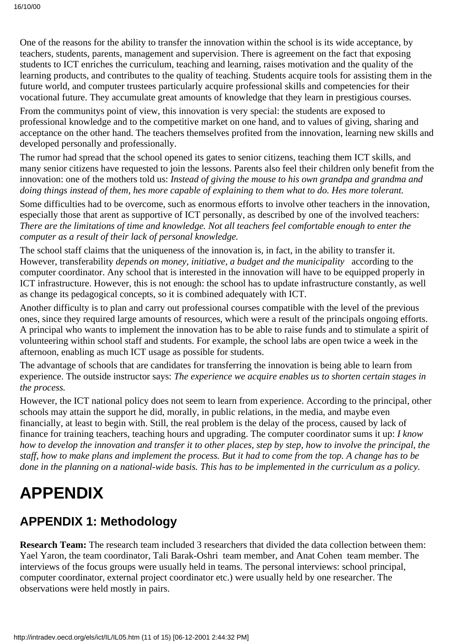One of the reasons for the ability to transfer the innovation within the school is its wide acceptance, by teachers, students, parents, management and supervision. There is agreement on the fact that exposing students to ICT enriches the curriculum, teaching and learning, raises motivation and the quality of the learning products, and contributes to the quality of teaching. Students acquire tools for assisting them in the future world, and computer trustees particularly acquire professional skills and competencies for their vocational future. They accumulate great amounts of knowledge that they learn in prestigious courses.

From the community s point of view, this innovation is very special: the students are exposed to professional knowledge and to the competitive market on one hand, and to values of giving, sharing and acceptance on the other hand. The teachers themselves profited from the innovation, learning new skills and developed personally and professionally.

The rumor had spread that the school opened its gates to senior citizens, teaching them ICT skills, and many senior citizens have requested to join the lessons. Parents also feel their children only benefit from the innovation: one of the mothers told us: *Instead of giving the mouse to his own grandpa and grandma and doing things instead of them, hes more capable of explaining to them what to do. Hes more tolerant.*

Some difficulties had to be overcome, such as enormous efforts to involve other teachers in the innovation, especially those that arent as supportive of ICT personally, as described by one of the involved teachers: *There are the limitations of time and knowledge. Not all teachers feel comfortable enough to enter the computer as a result of their lack of personal knowledge.*

The school staff claims that the uniqueness of the innovation is, in fact, in the ability to transfer it. However, transferability *depends on money, initiative, a budget and the municipality* according to the computer coordinator. Any school that is interested in the innovation will have to be equipped properly in ICT infrastructure. However, this is not enough: the school has to update infrastructure constantly, as well as change its pedagogical concepts, so it is combined adequately with ICT.

Another difficulty is to plan and carry out professional courses compatible with the level of the previous ones, since they required large amounts of resources, which were a result of the principals ongoing efforts. A principal who wants to implement the innovation has to be able to raise funds and to stimulate a spirit of volunteering within school staff and students. For example, the school labs are open twice a week in the afternoon, enabling as much ICT usage as possible for students.

The advantage of schools that are candidates for transferring the innovation is being able to learn from experience. The outside instructor says: *The experience we acquire enables us to shorten certain stages in the process.*

However, the ICT national policy does not seem to learn from experience. According to the principal, other schools may attain the support he did, morally, in public relations, in the media, and maybe even financially, at least to begin with. Still, the real problem is the delay of the process, caused by lack of finance for training teachers, teaching hours and upgrading. The computer coordinator sums it up: *I know how to develop the innovation and transfer it to other places, step by step, how to involve the principal, the staff, how to make plans and implement the process. But it had to come from the top. A change has to be done in the planning on a national-wide basis. This has to be implemented in the curriculum as a policy.*

# **APPENDIX**

# **APPENDIX 1: Methodology**

**Research Team:** The research team included 3 researchers that divided the data collection between them: Yael Yaron, the team coordinator, Tali Barak-Oshri team member, and Anat Cohen team member. The interviews of the focus groups were usually held in teams. The personal interviews: school principal, computer coordinator, external project coordinator etc.) were usually held by one researcher. The observations were held mostly in pairs.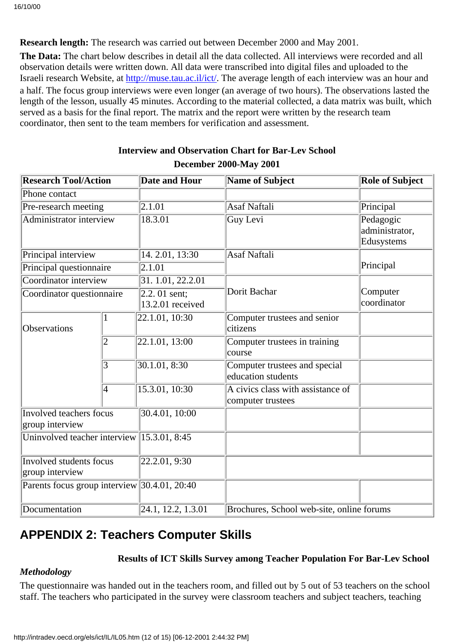**Research length:** The research was carried out between December 2000 and May 2001.

**The Data:** The chart below describes in detail all the data collected. All interviews were recorded and all observation details were written down. All data were transcribed into digital files and uploaded to the Israeli research Website, at [http://muse.tau.ac.il/ict/.](http://muse.tau.ac.il/ict/) The average length of each interview was an hour and a half. The focus group interviews were even longer (an average of two hours). The observations lasted the length of the lesson, usually 45 minutes. According to the material collected, a data matrix was built, which served as a basis for the final report. The matrix and the report were written by the research team coordinator, then sent to the team members for verification and assessment.

| <b>Research Tool/Action</b>                  |   | <b>Date and Hour</b>                      | Name of Subject                                        | <b>Role of Subject</b>                    |
|----------------------------------------------|---|-------------------------------------------|--------------------------------------------------------|-------------------------------------------|
| Phone contact                                |   |                                           |                                                        |                                           |
| Pre-research meeting                         |   | $\overline{2.1.01}$                       | <b>Asaf Naftali</b>                                    | Principal                                 |
| <b>Administrator interview</b>               |   | 18.3.01                                   | <b>Guy Levi</b>                                        | Pedagogic<br>administrator,<br>Edusystems |
| Principal interview                          |   | 14. 2.01, 13:30                           | <b>Asaf Naftali</b>                                    |                                           |
| Principal questionnaire                      |   | $\overline{2.1.01}$                       |                                                        | Principal                                 |
| Coordinator interview                        |   | 31. 1.01, 22.2.01                         |                                                        |                                           |
| Coordinator questionnaire                    |   | 2.2.01 sent;<br>13.2.01 received          | Dorit Bachar                                           | Computer<br>coordinator                   |
| Observations                                 |   | 22.1.01, 10:30                            | Computer trustees and senior<br>citizens               |                                           |
|                                              | 2 | 22.1.01, 13:00                            | Computer trustees in training<br>course                |                                           |
|                                              | 3 | 30.1.01, 8:30                             | Computer trustees and special<br>education students    |                                           |
|                                              | 4 | $15.\overline{3.01}$ , $10.\overline{30}$ | A civics class with assistance of<br>computer trustees |                                           |
| Involved teachers focus<br>group interview   |   | 30.4.01, 10:00                            |                                                        |                                           |
| Uninvolved teacher interview                 |   | $\overline{15.3.01, 8:45}$                |                                                        |                                           |
| Involved students focus<br>group interview   |   | 22.2.01, 9:30                             |                                                        |                                           |
| Parents focus group interview 30.4.01, 20:40 |   |                                           |                                                        |                                           |
| Documentation                                |   | 24.1, 12.2, 1.3.01                        | Brochures, School web-site, online forums              |                                           |

#### **Interview and Observation Chart for Bar-Lev School December 2000-May 2001**

# **APPENDIX 2: Teachers Computer Skills**

#### **Results of ICT Skills Survey among Teacher Population For Bar-Lev School**

#### *Methodology*

The questionnaire was handed out in the teachers room, and filled out by 5 out of 53 teachers on the school staff. The teachers who participated in the survey were classroom teachers and subject teachers, teaching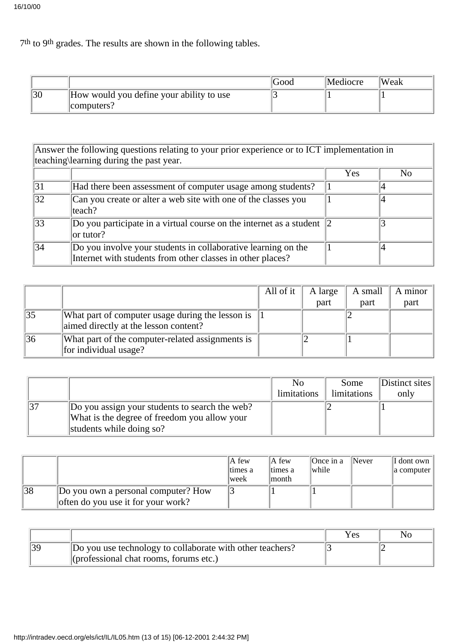7th to 9th grades. The results are shown in the following tables.

|    |                                          | Good | Mediocre | Weak |
|----|------------------------------------------|------|----------|------|
| 30 | How would you define your ability to use |      |          |      |
|    | computers?                               |      |          |      |

Answer the following questions relating to your prior experience or to ICT implementation in teaching\learning during the past year.  $Y_{\text{es}}$   $N_0$ 31 Had there been assessment of computer usage among students? 1 4 32 Can you create or alter a web site with one of the classes you teach? 1 4  $\overline{33}$  Do you participate in a virtual course on the internet as a student  $\overline{2}$ or tutor? 2 3 34 Do you involve your students in collaborative learning on the Internet with students from other classes in other places? 1 4

|                 |                                                                                           | All of it | A large | A small | A minor |
|-----------------|-------------------------------------------------------------------------------------------|-----------|---------|---------|---------|
|                 |                                                                                           |           | part    | part    | part    |
| $\overline{35}$ | What part of computer usage during the lesson is<br>aimed directly at the lesson content? |           |         |         |         |
| 36              | What part of the computer-related assignments is<br>for individual usage?                 |           |         |         |         |

|                                                | No          | Some        | Distinct sites |
|------------------------------------------------|-------------|-------------|----------------|
|                                                | limitations | limitations | only           |
| Do you assign your students to search the web? |             |             |                |
| What is the degree of freedom you allow your   |             |             |                |
| students while doing so?                       |             |             |                |

|    |                                                                           | $A$ few<br>times a | IA few<br>ltimes a | Once in a<br>while | $\blacksquare$ Never | $\vert$ I don t own $\vert$<br>a computer |
|----|---------------------------------------------------------------------------|--------------------|--------------------|--------------------|----------------------|-------------------------------------------|
|    |                                                                           | lweek              | lmonth.            |                    |                      |                                           |
| 38 | Do you own a personal computer? How<br>often do you use it for your work? |                    |                    |                    |                      |                                           |

|                                                           | Yes | N <sub>O</sub> |
|-----------------------------------------------------------|-----|----------------|
| Do you use technology to collaborate with other teachers? |     |                |
| $\ $ (professional chat rooms, forums etc.)               |     |                |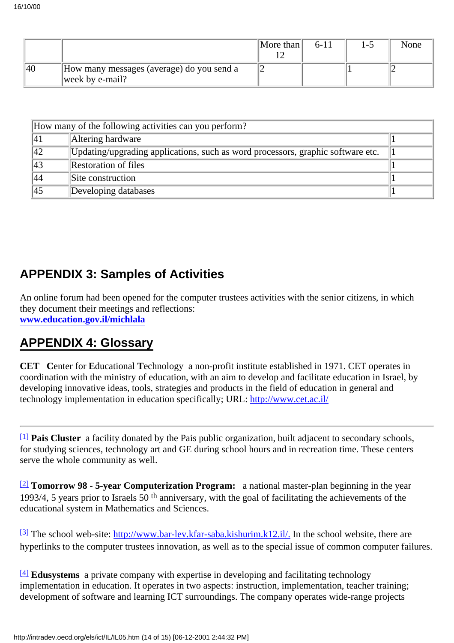|    |                                                              | $\vert$ More than $\vert$ | 6-11 | -0 | None |
|----|--------------------------------------------------------------|---------------------------|------|----|------|
| 40 | How many messages (average) do you send a<br>week by e-mail? |                           |      |    |      |

| How many of the following activities can you perform? |                                                                                 |  |  |  |
|-------------------------------------------------------|---------------------------------------------------------------------------------|--|--|--|
| 41                                                    | Altering hardware                                                               |  |  |  |
| $ 42\rangle$                                          | Updating/upgrading applications, such as word processors, graphic software etc. |  |  |  |
| 43                                                    | Restoration of files                                                            |  |  |  |
| 44                                                    | Site construction                                                               |  |  |  |
| 45                                                    | Developing databases                                                            |  |  |  |

# **APPENDIX 3: Samples of Activities**

An online forum had been opened for the computer trustees activities with the senior citizens, in which they document their meetings and reflections: **www.education.gov.il/michlala**

### **APPENDIX 4: Glossary**

**CET C**enter for **E**ducational **T**echnology a non-profit institute established in 1971. CET operates in coordination with the ministry of education, with an aim to develop and facilitate education in Israel, by developing innovative ideas, tools, strategies and products in the field of education in general and technology implementation in education specifically; URL: <http://www.cet.ac.il/>

[\[1\]](http://waldorf.eds.udel.edu/oecd/report/cases/IL/BarLev/IL05.html#fnB1) **Pais Cluster** a facility donated by the Pais public organization, built adjacent to secondary schools, for studying sciences, technology art and GE during school hours and in recreation time. These centers serve the whole community as well.

[\[2\]](http://waldorf.eds.udel.edu/oecd/report/cases/IL/BarLev/IL05.html#fnB2) **Tomorrow 98 - 5-year Computerization Program:** a national master-plan beginning in the year 1993/4, 5 years prior to Israels  $50<sup>th</sup>$  anniversary, with the goal of facilitating the achievements of the educational system in Mathematics and Sciences.

 $\frac{3}{3}$  The school web-site:<http://www.bar-lev.kfar-saba.kishurim.k12.il/>. In the school website, there are hyperlinks to the computer trustees innovation, as well as to the special issue of common computer failures.

[\[4\]](http://waldorf.eds.udel.edu/oecd/report/cases/IL/BarLev/IL05.html#fnB4) **Edusystems** a private company with expertise in developing and facilitating technology implementation in education. It operates in two aspects: instruction, implementation, teacher training; development of software and learning ICT surroundings. The company operates wide-range projects